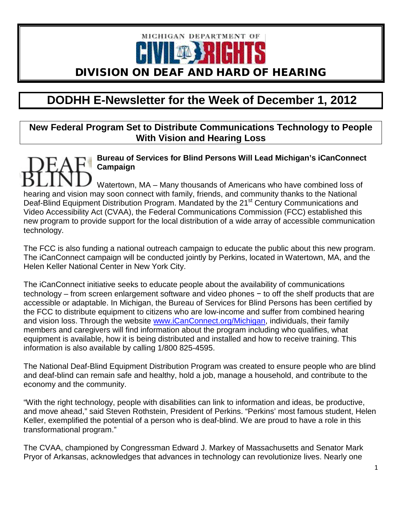

# **DODHH E-Newsletter for the Week of December 1, 2012**

**New Federal Program Set to Distribute Communications Technology to People With Vision and Hearing Loss**

**Bureau of Services for Blind Persons Will Lead Michigan's iCanConnect Campaign**

Watertown, MA – Many thousands of Americans who have combined loss of hearing and vision may soon connect with family, friends, and community thanks to the National Deaf-Blind Equipment Distribution Program. Mandated by the 21<sup>st</sup> Century Communications and Video Accessibility Act (CVAA), the Federal Communications Commission (FCC) established this new program to provide support for the local distribution of a wide array of accessible communication technology.

The FCC is also funding a national outreach campaign to educate the public about this new program. The iCanConnect campaign will be conducted jointly by Perkins, located in Watertown, MA, and the Helen Keller National Center in New York City.

The iCanConnect initiative seeks to educate people about the availability of communications technology – from screen enlargement software and video phones − to off the shelf products that are accessible or adaptable. In Michigan, the Bureau of Services for Blind Persons has been certified by the FCC to distribute equipment to citizens who are low-income and suffer from combined hearing and vision loss. Through the website [www.iCanConnect.org/Michigan,](http://www.icanconnect.org/Michigan) individuals, their family members and caregivers will find information about the program including who qualifies, what equipment is available, how it is being distributed and installed and how to receive training. This information is also available by calling 1/800 825-4595.

The National Deaf-Blind Equipment Distribution Program was created to ensure people who are blind and deaf-blind can remain safe and healthy, hold a job, manage a household, and contribute to the economy and the community.

"With the right technology, people with disabilities can link to information and ideas, be productive, and move ahead," said Steven Rothstein, President of Perkins. "Perkins' most famous student, Helen Keller, exemplified the potential of a person who is deaf-blind. We are proud to have a role in this transformational program."

The CVAA, championed by Congressman Edward J. Markey of Massachusetts and Senator Mark Pryor of Arkansas, acknowledges that advances in technology can revolutionize lives. Nearly one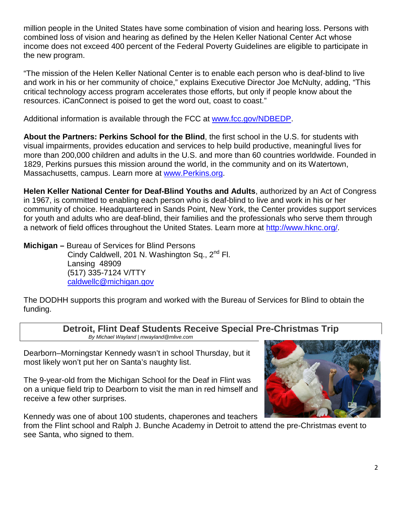million people in the United States have some combination of vision and hearing loss. Persons with combined loss of vision and hearing as defined by the Helen Keller National Center Act whose income does not exceed 400 percent of the Federal Poverty Guidelines are eligible to participate in the new program.

"The mission of the Helen Keller National Center is to enable each person who is deaf-blind to live and work in his or her community of choice," explains Executive Director Joe McNulty, adding, "This critical technology access program accelerates those efforts, but only if people know about the resources. iCanConnect is poised to get the word out, coast to coast."

Additional information is available through the FCC at [www.fcc.gov/NDBEDP.](https://owa.perkins.org/owa/redir.aspx?C=9025fe3667d24ce3b9b92f7d2dbc8e7b&URL=http%3a%2f%2fwww.fcc.gov%2fNDBEDP)

**About the Partners: Perkins School for the Blind**, the first school in the U.S. for students with visual impairments, provides education and services to help build productive, meaningful lives for more than 200,000 children and adults in the U.S. and more than 60 countries worldwide. Founded in 1829, Perkins pursues this mission around the world, in the community and on its Watertown, Massachusetts, campus. Learn more at [www.Perkins.org.](http://www.perkins.org/)

**Helen Keller National Center for Deaf-Blind Youths and Adults**, authorized by an Act of Congress in 1967, is committed to enabling each person who is deaf-blind to live and work in his or her community of choice. Headquartered in Sands Point, New York, the Center provides support services for youth and adults who are deaf-blind, their families and the professionals who serve them through a network of field offices throughout the United States. Learn more at [http://www.hknc.org/.](http://www.hknc.org/)

**Michigan –** Bureau of Services for Blind Persons Cindy Caldwell, 201 N. Washington Sq., 2<sup>nd</sup> Fl. Lansing 48909 (517) 335-7124 V/TTY [caldwellc@michigan.gov](mailto:caldwellc@michigan.gov)

The DODHH supports this program and worked with the Bureau of Services for Blind to obtain the funding.

**Detroit, Flint Deaf Students Receive Special Pre-Christmas Trip**

*B[y Michael Wayland | mwayland@mlive.com](http://connect.mlive.com/user/mwayland/photos.html)* 

Dearborn–Morningstar Kennedy wasn't in school Thursday, but it most likely won't put her on Santa's naughty list.

The 9-year-old from the Michigan School for the Deaf in Flint was on a unique field trip to Dearborn to [visit the man in red himself](http://www.mlive.com/news/detroit/index.ssf/2012/12/flint_detroit_deaf_children_to.html) and receive a few other surprises.

Kennedy was one of about 100 students, chaperones and teachers

from the Flint school and [Ralph J. Bunche Academy](http://rjba.sharpschool.net/) in Detroit to attend the pre-Christmas event to see Santa, who signed to them.

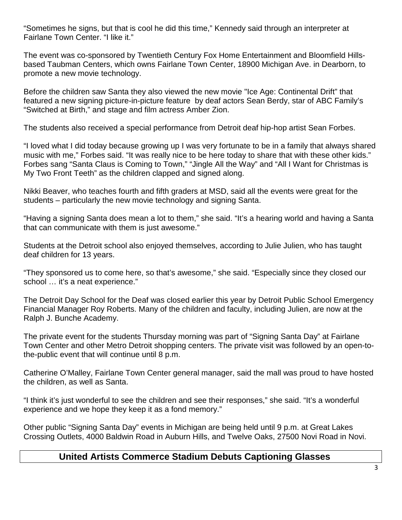"Sometimes he signs, but that is cool he did this time," Kennedy said through an interpreter at Fairlane Town Center. "I like it."

The event was co-sponsored by Twentieth Century Fox Home Entertainment and Bloomfield Hillsbased Taubman Centers, which owns Fairlane Town Center, 18900 Michigan Ave. in Dearborn, to promote a new movie technology.

Before the children saw Santa they also viewed the new movie "Ice Age: Continental Drift" tha[t](http://www.mlive.com/news/detroit/index.ssf/2012/12/flint_detroit_deaf_children_to.html) [featured a new signing picture-in-picture feature](http://www.mlive.com/news/detroit/index.ssf/2012/12/flint_detroit_deaf_children_to.html) by deaf actors Sean Berdy, star of ABC Family's "Switched at Birth," and stage and film actress Amber Zion.

The students also received a special performance from Detroit deaf hip-hop artist Sean Forbes.

"I loved what I did today because growing up I was very fortunate to be in a family that always shared music with me," Forbes said. "It was really nice to be here today to share that with these other kids." Forbes sang "Santa Claus is Coming to Town," "Jingle All the Way" and "All I Want for Christmas is My Two Front Teeth" as the children clapped and signed along.

Nikki Beaver, who teaches fourth and fifth graders at [MSD,](http://www.deaftartars.com/) said all the events were great for the students – particularly the new movie technology and signing Santa.

"Having a signing Santa does mean a lot to them," she said. "It's a hearing world and having a Santa that can communicate with them is just awesome."

Students at the Detroit school also enjoyed themselves, according to Julie Julien, who has taught deaf children for 13 years.

"They sponsored us to come here, so that's awesome," she said. "Especially since they closed our school ... it's a neat experience."

The Detroit Day School for the Deaf was [closed earlier this year](http://www.freep.com/article/20120824/NEWS01/308240092/Meeting-on-Detroit-school-for-deaf-held-despite-emergency-manager-s-decision) by Detroit Public School Emergency Financial Manager Roy Roberts. Many of the children and faculty, including Julien, are now at the Ralph J. Bunche Academy.

The private event for the students Thursday morning was part of "Signing Santa Day" at Fairlane Town Center and other Metro Detroit shopping centers. The private visit was followed by an open-tothe-public event that will continue until 8 p.m.

Catherine O'Malley, Fairlane Town Center general manager, said the mall was proud to have hosted the children, as well as Santa.

"I think it's just wonderful to see the children and see their responses," she said. "It's a wonderful experience and we hope they keep it as a fond memory."

Other public ["Signing Santa Day" events](http://www.mlive.com/news/detroit/index.ssf/2012/12/flint_detroit_deaf_children_to.html) in Michigan are being held until 9 p.m. at Great Lakes Crossing Outlets, 4000 Baldwin Road in Auburn Hills, and Twelve Oaks, 27500 Novi Road in Novi.

# **United Artists Commerce Stadium Debuts Captioning Glasses**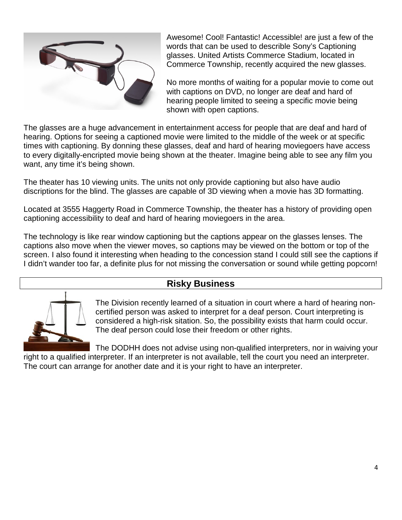

Awesome! Cool! Fantastic! Accessible! are just a few of the words that can be used to describle Sony's Captioning glasses. United Artists Commerce Stadium, located in Commerce Township, recently acquired the new glasses.

No more months of waiting for a popular movie to come out with captions on DVD, no longer are deaf and hard of hearing people limited to seeing a specific movie being shown with open captions.

The glasses are a huge advancement in entertainment access for people that are deaf and hard of hearing. Options for seeing a captioned movie were limited to the middle of the week or at specific times with captioning. By donning these glasses, deaf and hard of hearing moviegoers have access to every digitally-encripted movie being shown at the theater. Imagine being able to see any film you want, any time it's being shown.

The theater has 10 viewing units. The units not only provide captioning but also have audio discriptions for the blind. The glasses are capable of 3D viewing when a movie has 3D formatting.

Located at 3555 Haggerty Road in Commerce Township, the theater has a history of providing open captioning accessibility to deaf and hard of hearing moviegoers in the area.

The technology is like rear window captioning but the captions appear on the glasses lenses. The captions also move when the viewer moves, so captions may be viewed on the bottom or top of the screen. I also found it interesting when heading to the concession stand I could still see the captions if I didn't wander too far, a definite plus for not missing the conversation or sound while getting popcorn!

# **Risky Business**



The Division recently learned of a situation in court where a hard of hearing noncertified person was asked to interpret for a deaf person. Court interpreting is considered a high-risk sitation. So, the possibility exists that harm could occur. The deaf person could lose their freedom or other rights.

The DODHH does not advise using non-qualified interpreters, nor in waiving your right to a qualified interpreter. If an interpreter is not available, tell the court you need an interpreter. The court can arrange for another date and it is your right to have an interpreter.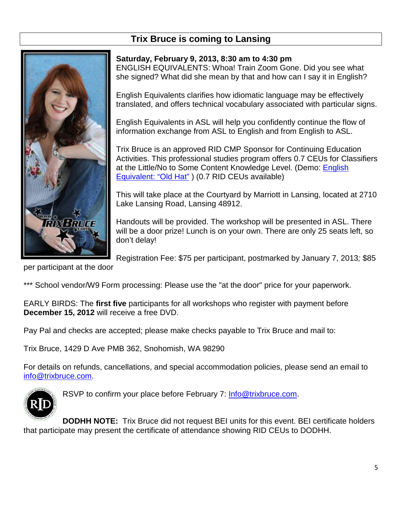# **Trix Bruce is coming to Lansing**



# **Saturday, February 9, 2013, 8:30 am to 4:30 pm** ENGLISH EQUIVALENTS: Whoa! Train Zoom Gone. Did you see what she signed? What did she mean by that and how can I say it in English?

English Equivalents clarifies how idiomatic language may be effectively translated, and offers technical vocabulary associated with particular signs.

English Equivalents in ASL will help you confidently continue the flow of information exchange from ASL to English and from English to ASL.

Trix Bruce is an approved RID CMP Sponsor for Continuing Education Activities. This professional studies program offers 0.7 CEUs for Classifiers at the Little/No to Some Content Knowledge Level. (Demo: [English](http://youtu.be/sO3jqIwdeLs)  [Equivalent: "Old Hat"](http://youtu.be/sO3jqIwdeLs) ) (0.7 RID CEUs available)

This will take place at the Courtyard by Marriott in Lansing, located at 2710 Lake Lansing Road, Lansing 48912.

Handouts will be provided. The workshop will be presented in ASL. There will be a door prize! Lunch is on your own. There are only 25 seats left, so don't delay!

Registration Fee: \$75 per participant, postmarked by January 7, 2013*;* \$85

per participant at the door

\*\*\* School vendor/W9 Form processing: Please use the "at the door" price for your paperwork.

EARLY BIRDS: The **first five** participants for all workshops who register with payment before **December 15, 2012** will receive a free DVD.

Pay Pal and checks are accepted; please make checks payable to Trix Bruce and mail to:

Trix Bruce, 1429 D Ave PMB 362, Snohomish, WA 98290

For details on refunds, cancellations, and special accommodation policies, please send an email to [info@trixbruce.com.](mailto:info@trixbruce.com)



RSVP to confirm your place before February 7: [Info@trixbruce.com.](mailto:Info@trixbruce.com)

**DODHH NOTE:** Trix Bruce did not request BEI units for this event. BEI certificate holders that participate may present the certificate of attendance showing RID CEUs to DODHH.